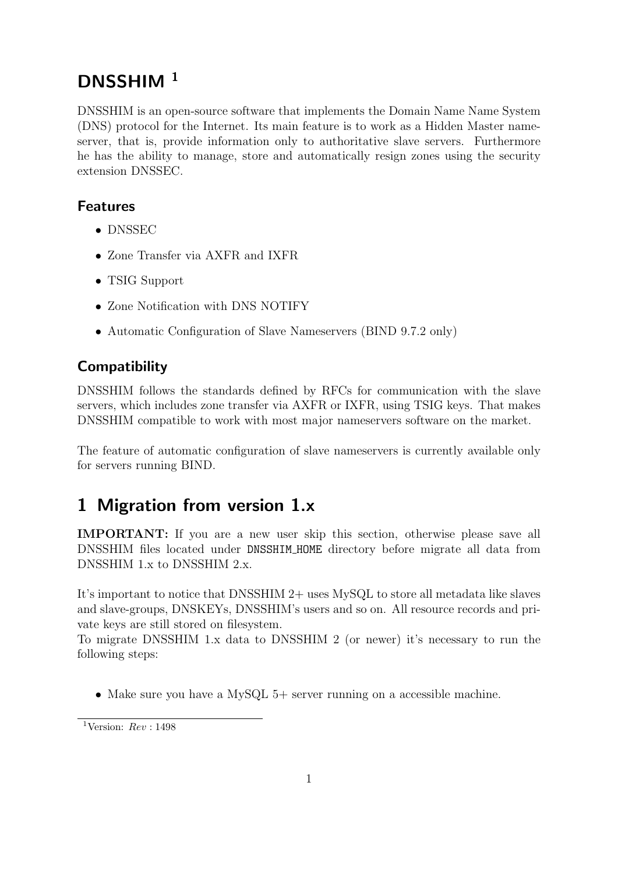# DNSSHIM<sup>1</sup>

DNSSHIM is an open-source software that implements the Domain Name Name System (DNS) protocol for the Internet. Its main feature is to work as a Hidden Master nameserver, that is, provide information only to authoritative slave servers. Furthermore he has the ability to manage, store and automatically resign zones using the security extension DNSSEC.

### Features

- DNSSEC
- Zone Transfer via AXFR and IXFR
- TSIG Support
- Zone Notification with DNS NOTIFY
- Automatic Configuration of Slave Nameservers (BIND 9.7.2 only)

## **Compatibility**

DNSSHIM follows the standards defined by RFCs for communication with the slave servers, which includes zone transfer via AXFR or IXFR, using TSIG keys. That makes DNSSHIM compatible to work with most major nameservers software on the market.

The feature of automatic configuration of slave nameservers is currently available only for servers running BIND.

# 1 Migration from version 1.x

IMPORTANT: If you are a new user skip this section, otherwise please save all DNSSHIM files located under DNSSHIM HOME directory before migrate all data from DNSSHIM 1.x to DNSSHIM 2.x.

It's important to notice that DNSSHIM 2+ uses MySQL to store all metadata like slaves and slave-groups, DNSKEYs, DNSSHIM's users and so on. All resource records and private keys are still stored on filesystem.

To migrate DNSSHIM 1.x data to DNSSHIM 2 (or newer) it's necessary to run the following steps:

• Make sure you have a MySQL 5+ server running on a accessible machine.

<sup>&</sup>lt;sup>1</sup>Version:  $Rev : 1498$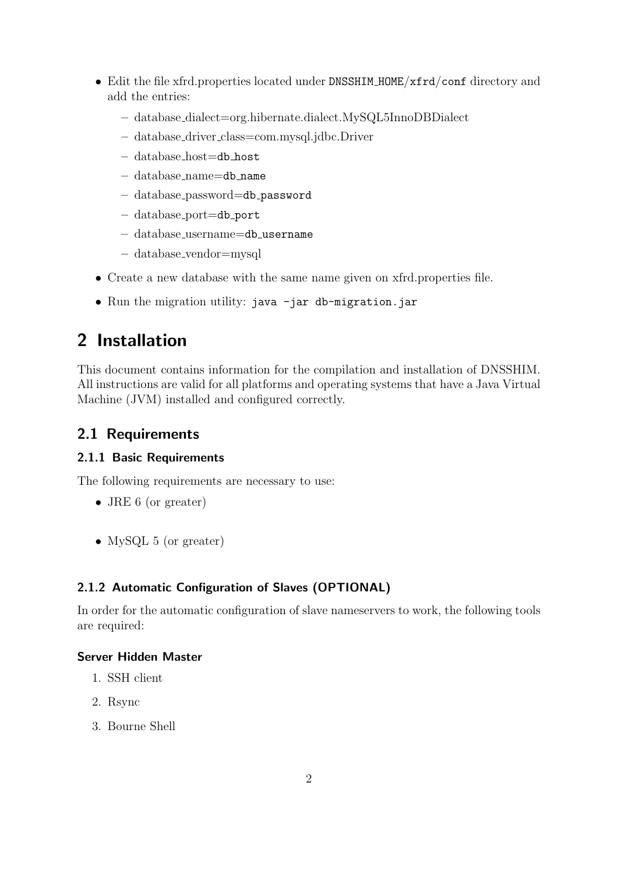- Edit the file xfrd.properties located under DNSSHIM\_HOME/xfrd/conf directory and add the entries:
	- database dialect=org.hibernate.dialect.MySQL5InnoDBDialect
	- database driver class=com.mysql.jdbc.Driver
	- database host=db host
	- database name=db name
	- database password=db password
	- database port=db port
	- database username=db username
	- database vendor=mysql
- Create a new database with the same name given on xfrd.properties file.
- Run the migration utility: java -jar db-migration.jar

# 2 Installation

This document contains information for the compilation and installation of DNSSHIM. All instructions are valid for all platforms and operating systems that have a Java Virtual Machine (JVM) installed and configured correctly.

### 2.1 Requirements

### 2.1.1 Basic Requirements

The following requirements are necessary to use:

- JRE 6 (or greater)
- MySQL 5 (or greater)

### 2.1.2 Automatic Configuration of Slaves (OPTIONAL)

In order for the automatic configuration of slave nameservers to work, the following tools are required:

#### Server Hidden Master

- 1. SSH client
- 2. Rsync
- 3. Bourne Shell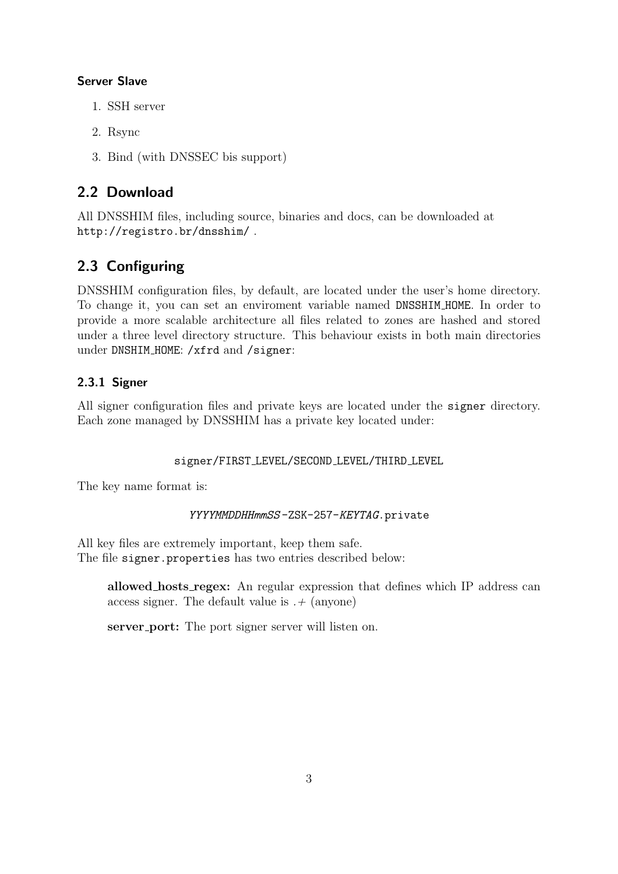#### Server Slave

- 1. SSH server
- 2. Rsync
- 3. Bind (with DNSSEC bis support)

### 2.2 Download

All DNSSHIM files, including source, binaries and docs, can be downloaded at http://registro.br/dnsshim/ .

## 2.3 Configuring

DNSSHIM configuration files, by default, are located under the user's home directory. To change it, you can set an enviroment variable named DNSSHIM HOME. In order to provide a more scalable architecture all files related to zones are hashed and stored under a three level directory structure. This behaviour exists in both main directories under DNSHIM\_HOME: /xfrd and /signer:

### 2.3.1 Signer

All signer configuration files and private keys are located under the signer directory. Each zone managed by DNSSHIM has a private key located under:

### signer/FIRST LEVEL/SECOND LEVEL/THIRD LEVEL

The key name format is:

### YYYYMMDDHHmmSS-ZSK-257-KEYTAG.private

All key files are extremely important, keep them safe. The file signer.properties has two entries described below:

allowed hosts regex: An regular expression that defines which IP address can access signer. The default value is  $. +$  (anyone)

server port: The port signer server will listen on.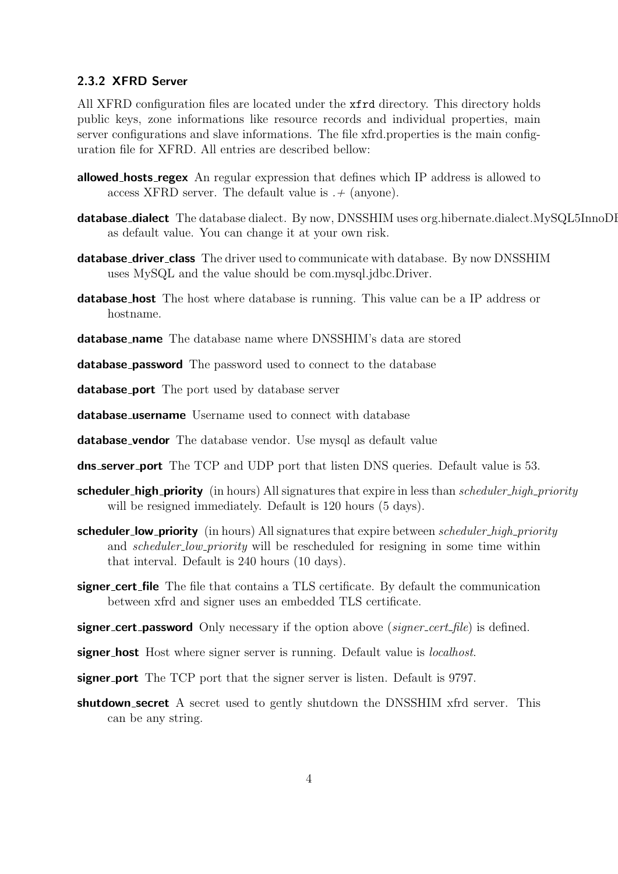#### 2.3.2 XFRD Server

All XFRD configuration files are located under the xfrd directory. This directory holds public keys, zone informations like resource records and individual properties, main server configurations and slave informations. The file xfrd.properties is the main configuration file for XFRD. All entries are described bellow:

- allowed hosts regex An regular expression that defines which IP address is allowed to access XFRD server. The default value is  $.+($ anyone).
- database\_dialect The database dialect. By now, DNSSHIM uses org.hibernate.dialect.MySQL5InnoDI as default value. You can change it at your own risk.
- **database\_driver\_class** The driver used to communicate with database. By now DNSSHIM uses MySQL and the value should be com.mysql.jdbc.Driver.
- **database\_host** The host where database is running. This value can be a IP address or hostname.
- database name The database name where DNSSHIM's data are stored

**database\_password** The password used to connect to the database

database port The port used by database server

database\_username Username used to connect with database

- database\_vendor The database vendor. Use mysql as default value
- **dns server port** The TCP and UDP port that listen DNS queries. Default value is 53.
- **scheduler\_high\_priority** (in hours) All signatures that expire in less than *scheduler\_high\_priority* will be resigned immediately. Default is 120 hours (5 days).
- scheduler\_low\_priority (in hours) All signatures that expire between *scheduler\_high\_priority* and *scheduler\_low\_priority* will be rescheduled for resigning in some time within that interval. Default is 240 hours (10 days).
- signer\_cert\_file The file that contains a TLS certificate. By default the communication between xfrd and signer uses an embedded TLS certificate.
- **signer\_cert\_password** Only necessary if the option above (signer\_cert\_file) is defined.
- signer host Host where signer server is running. Default value is *localhost*.
- signer port The TCP port that the signer server is listen. Default is 9797.
- **shutdown secret** A secret used to gently shutdown the DNSSHIM xfrd server. This can be any string.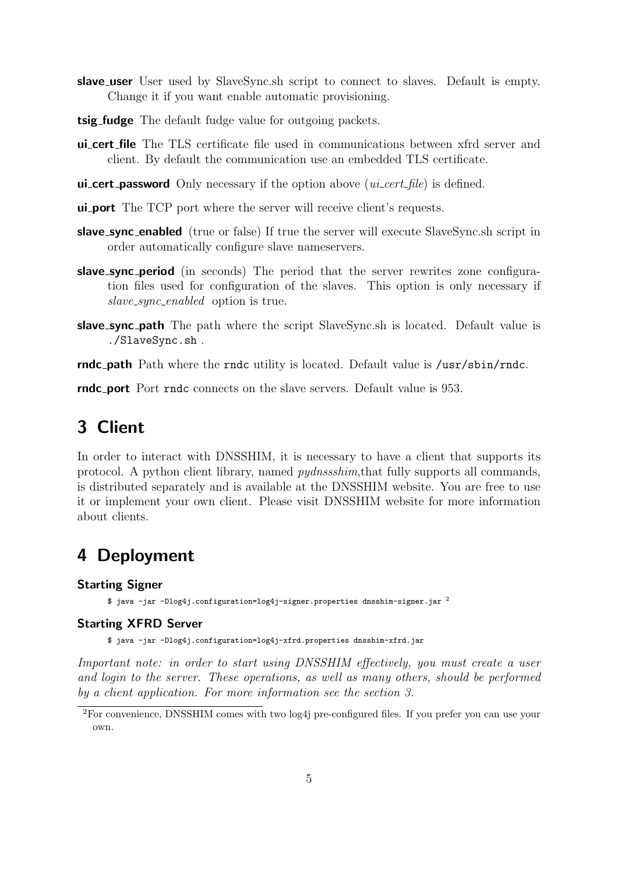- slave user User used by SlaveSync.sh script to connect to slaves. Default is empty. Change it if you want enable automatic provisioning.
- tsig fudge The default fudge value for outgoing packets.
- ui cert file The TLS certificate file used in communications between xfrd server and client. By default the communication use an embedded TLS certificate.
- **ui\_cert\_password** Only necessary if the option above  $(u\text{i}\text{-}cert\text{-}file)$  is defined.
- ui port The TCP port where the server will receive client's requests.
- slave sync enabled (true or false) If true the server will execute SlaveSync.sh script in order automatically configure slave nameservers.
- slave\_sync\_period (in seconds) The period that the server rewrites zone configuration files used for configuration of the slaves. This option is only necessary if slave\_sync\_enabled option is true.
- **slave\_sync\_path** The path where the script SlaveSync.sh is located. Default value is ./SlaveSync.sh .

rndc path Path where the rndc utility is located. Default value is /usr/sbin/rndc.

rndc port Port rndc connects on the slave servers. Default value is 953.

# 3 Client

In order to interact with DNSSHIM, it is necessary to have a client that supports its protocol. A python client library, named pydnssshim,that fully supports all commands, is distributed separately and is available at the DNSSHIM website. You are free to use it or implement your own client. Please visit DNSSHIM website for more information about clients.

## 4 Deployment

#### Starting Signer

\$ java -jar -Dlog4j.configuration=log4j-signer.properties dnsshim-signer.jar  $^2$ 

#### Starting XFRD Server

\$ java -jar -Dlog4j.configuration=log4j-xfrd.properties dnsshim-xfrd.jar

Important note: in order to start using DNSSHIM effectively, you must create a user and login to the server. These operations, as well as many others, should be performed by a client application. For more information see the section 3.

<sup>2</sup>For convenience, DNSSHIM comes with two log4j pre-configured files. If you prefer you can use your own.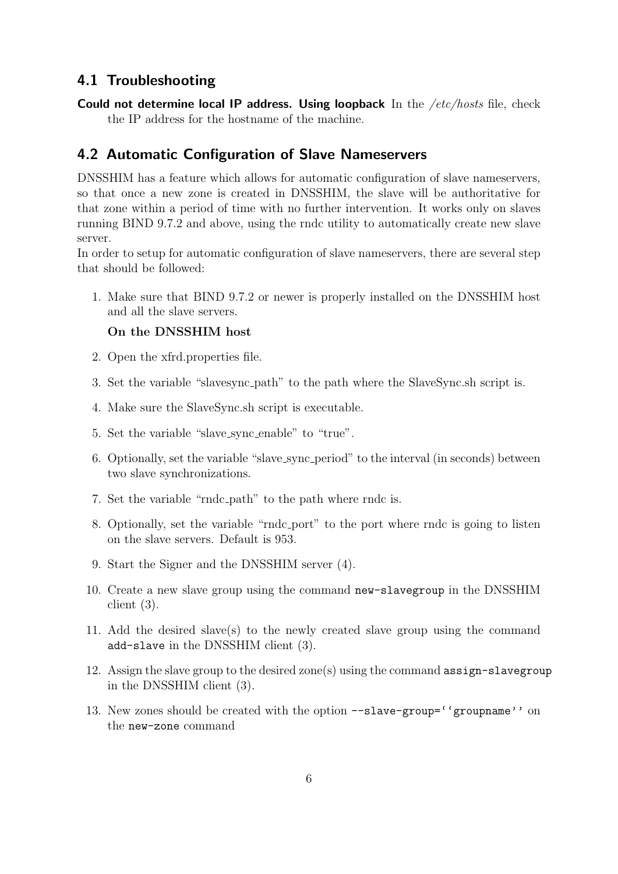#### 4.1 Troubleshooting

Could not determine local IP address. Using loopback In the /etc/hosts file, check the IP address for the hostname of the machine.

### 4.2 Automatic Configuration of Slave Nameservers

DNSSHIM has a feature which allows for automatic configuration of slave nameservers, so that once a new zone is created in DNSSHIM, the slave will be authoritative for that zone within a period of time with no further intervention. It works only on slaves running BIND 9.7.2 and above, using the rndc utility to automatically create new slave server.

In order to setup for automatic configuration of slave nameservers, there are several step that should be followed:

1. Make sure that BIND 9.7.2 or newer is properly installed on the DNSSHIM host and all the slave servers.

#### On the DNSSHIM host

- 2. Open the xfrd.properties file.
- 3. Set the variable "slavesync path" to the path where the SlaveSync.sh script is.
- 4. Make sure the SlaveSync.sh script is executable.
- 5. Set the variable "slave sync enable" to "true".
- 6. Optionally, set the variable "slave sync period" to the interval (in seconds) between two slave synchronizations.
- 7. Set the variable "rndc path" to the path where rndc is.
- 8. Optionally, set the variable "rndc port" to the port where rndc is going to listen on the slave servers. Default is 953.
- 9. Start the Signer and the DNSSHIM server (4).
- 10. Create a new slave group using the command new-slavegroup in the DNSSHIM client (3).
- 11. Add the desired slave(s) to the newly created slave group using the command add-slave in the DNSSHIM client (3).
- 12. Assign the slave group to the desired zone(s) using the command assign-slavegroup in the DNSSHIM client (3).
- 13. New zones should be created with the option --slave-group=''groupname'' on the new-zone command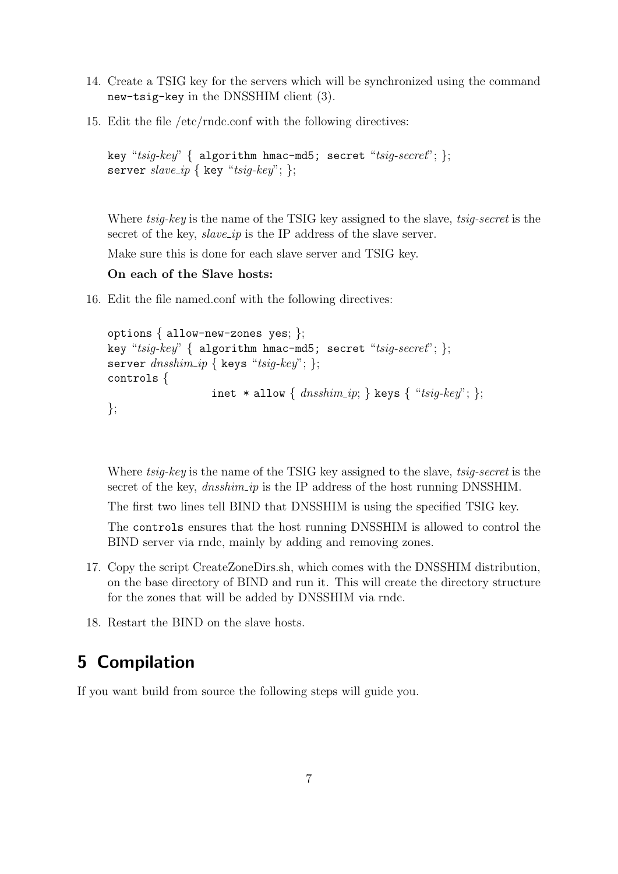- 14. Create a TSIG key for the servers which will be synchronized using the command new-tsig-key in the DNSSHIM client (3).
- 15. Edit the file /etc/rndc.conf with the following directives:

```
key "tsig-key" { algorithm hmac-md5; secret "tsig-secret"; };
server slave_i { key "tsig\text{-}key"; };
```
Where tsig-key is the name of the TSIG key assigned to the slave, tsig-secret is the secret of the key,  $slave\_ip$  is the IP address of the slave server.

Make sure this is done for each slave server and TSIG key.

#### On each of the Slave hosts:

16. Edit the file named.conf with the following directives:

```
options { allow-new-zones yes; };
key "t\text{sig-}key" { algorithm hmac-md5; secret "t\text{sig-}secret"; };
server dnshim_ip \{ keys "tsig-key"; \};controls {
                   inet * allow { dnsshim_i; } keys { "tsig-key"; };
};
```
Where tsig-key is the name of the TSIG key assigned to the slave, tsig-secret is the secret of the key, *dnsshim\_ip* is the IP address of the host running DNSSHIM.

The first two lines tell BIND that DNSSHIM is using the specified TSIG key.

The controls ensures that the host running DNSSHIM is allowed to control the BIND server via rndc, mainly by adding and removing zones.

- 17. Copy the script CreateZoneDirs.sh, which comes with the DNSSHIM distribution, on the base directory of BIND and run it. This will create the directory structure for the zones that will be added by DNSSHIM via rndc.
- 18. Restart the BIND on the slave hosts.

## 5 Compilation

If you want build from source the following steps will guide you.